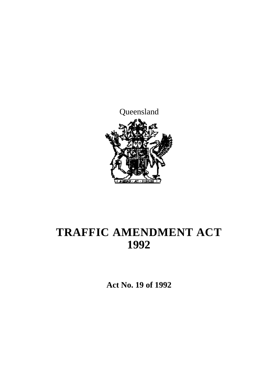

# **TRAFFIC AMENDMENT ACT 1992**

**Act No. 19 of 1992**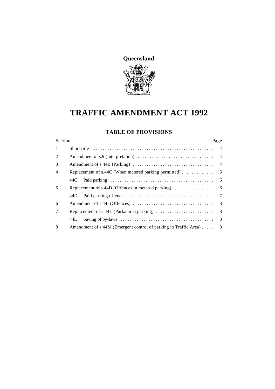

# **TRAFFIC AMENDMENT ACT 1992**

#### **TABLE OF PROVISIONS**

| Section        |                                                                                | Page           |
|----------------|--------------------------------------------------------------------------------|----------------|
| 1              |                                                                                | $\overline{4}$ |
| 2              |                                                                                | $\overline{4}$ |
| 3              |                                                                                |                |
| $\overline{4}$ | Replacement of s.44C (When metered parking permitted)                          | $5\phantom{0}$ |
|                | 44C -                                                                          | - 6            |
| 5              | Replacement of s.44D (Offences in metered parking) $\dots\dots\dots\dots\dots$ | 6              |
|                | 44D.                                                                           | $\overline{7}$ |
| 6              |                                                                                | 8 <sup>8</sup> |
| 7              |                                                                                |                |
|                | 44L                                                                            | 8 <sup>8</sup> |
| 8              | Amendment of s.44M (Emergent control of parking in Traffic Area)               | -8             |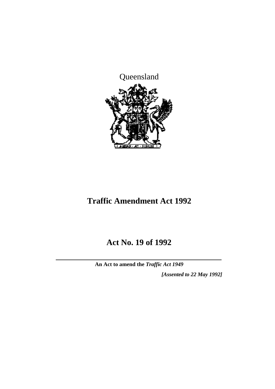

## **Traffic Amendment Act 1992**

## **Act No. 19 of 1992**

**An Act to amend the** *Traffic Act 1949*

*[Assented to 22 May 1992]*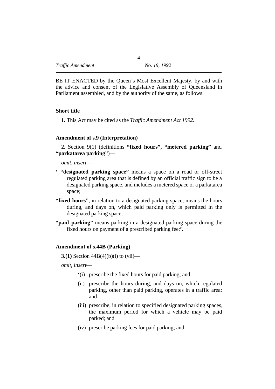BE IT ENACTED by the Queen's Most Excellent Majesty, by and with the advice and consent of the Legislative Assembly of Queensland in Parliament assembled, and by the authority of the same, as follows.

#### **˙Short title**

**1.** This Act may be cited as the *Traffic Amendment Act 1992*.

#### **˙Amendment of s.9 (Interpretation)**

**2.** Section 9(1) (definitions **"fixed hours", "metered parking"** and **"parkatarea parking"**)—

*omit, insert*—

- **' "designated parking space"** means a space on a road or off-street regulated parking area that is defined by an official traffic sign to be a designated parking space, and includes a metered space or a parkatarea space;
- **"fixed hours"**, in relation to a designated parking space, means the hours during, and days on, which paid parking only is permitted in the designated parking space;
- **"paid parking"** means parking in a designated parking space during the fixed hours on payment of a prescribed parking fee;**'.**

#### **˙Amendment of s.44B (Parking)**

**3.(1)** Section 44B(4)(b)(i) to (vii)—

*omit, insert*—

- **'**(i) prescribe the fixed hours for paid parking; and
- (ii) prescribe the hours during, and days on, which regulated parking, other than paid parking, operates in a traffic area; and
- (iii) prescribe, in relation to specified designated parking spaces, the maximum period for which a vehicle may be paid parked; and
- (iv) prescribe parking fees for paid parking; and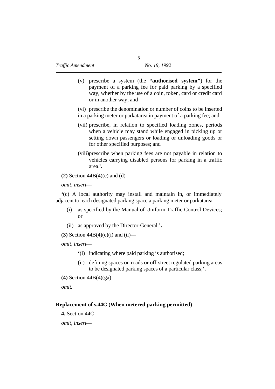(v) prescribe a system (the **"authorised system"**) for the payment of a parking fee for paid parking by a specified way, whether by the use of a coin, token, card or credit card or in another way; and

(vi) prescribe the denomination or number of coins to be inserted

- in a parking meter or parkatarea in payment of a parking fee; and
- (vii) prescribe, in relation to specified loading zones, periods when a vehicle may stand while engaged in picking up or setting down passengers or loading or unloading goods or for other specified purposes; and
- (viii)prescribe when parking fees are not payable in relation to vehicles carrying disabled persons for parking in a traffic area.**'.**

**(2)** Section 44B(4)(c) and (d)—

*omit, insert*—

**'**(c) A local authority may install and maintain in, or immediately adjacent to, each designated parking space a parking meter or parkatarea—

- (i) as specified by the Manual of Uniform Traffic Control Devices; or
- (ii) as approved by the Director-General.**'.**

**(3)** Section 44B(4)(e)(i) and (ii)—

*omit, insert*—

- **'**(i) indicating where paid parking is authorised;
- (ii) defining spaces on roads or off-street regulated parking areas to be designated parking spaces of a particular class;**'.**
- **(4)** Section 44B(4)(ga)—

*omit*.

#### **˙Replacement of s.44C (When metered parking permitted)**

**4.** Section 44C—

*omit, insert*—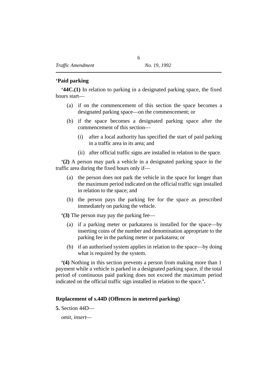#### **˙'Paid parking**

**'44C.(1)** In relation to parking in a designated parking space, the fixed hours start—

- (a) if on the commencement of this section the space becomes a designated parking space—on the commencement; or
- (b) if the space becomes a designated parking space after the commencement of this section—
	- (i) after a local authority has specified the start of paid parking in a traffic area in its area; and
	- (ii) after official traffic signs are installed in relation to the space.

**'(2)** A person may park a vehicle in a designated parking space in the traffic area during the fixed hours only if—

- (a) the person does not park the vehicle in the space for longer than the maximum period indicated on the official traffic sign installed in relation to the space; and
- (b) the person pays the parking fee for the space as prescribed immediately on parking the vehicle.

**'(3)** The person may pay the parking fee—

- (a) if a parking meter or parkatarea is installed for the space—by inserting coins of the number and denomination appropriate to the parking fee in the parking meter or parkatarea; or
- (b) if an authorised system applies in relation to the space—by doing what is required by the system.

**'(4)** Nothing in this section prevents a person from making more than 1 payment while a vehicle is parked in a designated parking space, if the total period of continuous paid parking does not exceed the maximum period indicated on the official traffic sign installed in relation to the space.**'.**

#### **˙Replacement of s.44D (Offences in metered parking)**

**5.** Section 44D—

*omit, insert*—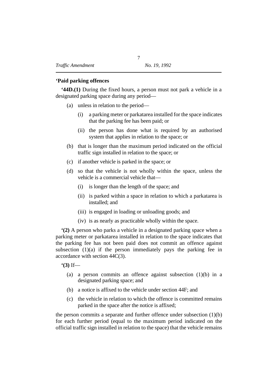#### **˙'Paid parking offences**

**'44D.(1)** During the fixed hours, a person must not park a vehicle in a designated parking space during any period—

- (a) unless in relation to the period—
	- (i) a parking meter or parkatarea installed for the space indicates that the parking fee has been paid; or
	- (ii) the person has done what is required by an authorised system that applies in relation to the space; or
- (b) that is longer than the maximum period indicated on the official traffic sign installed in relation to the space; or
- (c) if another vehicle is parked in the space; or
- (d) so that the vehicle is not wholly within the space, unless the vehicle is a commercial vehicle that—
	- (i) is longer than the length of the space; and
	- (ii) is parked within a space in relation to which a parkatarea is installed; and
	- (iii) is engaged in loading or unloading goods; and
	- (iv) is as nearly as practicable wholly within the space.

**'(2)** A person who parks a vehicle in a designated parking space when a parking meter or parkatarea installed in relation to the space indicates that the parking fee has not been paid does not commit an offence against subsection  $(1)(a)$  if the person immediately pays the parking fee in accordance with section 44C(3).

**'(3)** If—

- (a) a person commits an offence against subsection (1)(b) in a designated parking space; and
- (b) a notice is affixed to the vehicle under section 44F; and
- (c) the vehicle in relation to which the offence is committed remains parked in the space after the notice is affixed;

the person commits a separate and further offence under subsection (1)(b) for each further period (equal to the maximum period indicated on the official traffic sign installed in relation to the space) that the vehicle remains